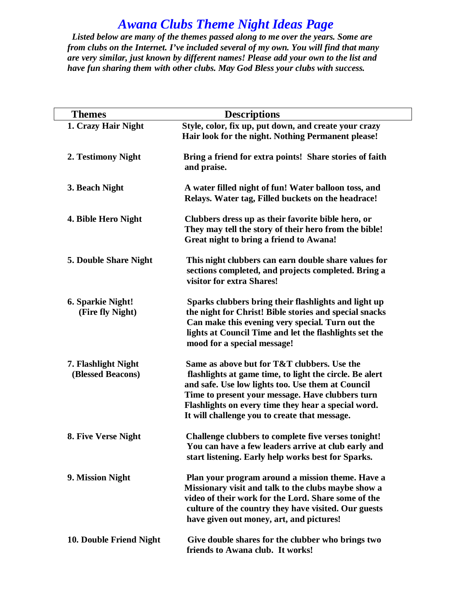## *Awana Clubs Theme Night Ideas Page*

 *Listed below are many of the themes passed along to me over the years. Some are from clubs on the Internet. I've included several of my own. You will find that many are very similar, just known by different names! Please add your own to the list and have fun sharing them with other clubs. May God Bless your clubs with success.*

| <b>Themes</b>                            | <b>Descriptions</b>                                                                                                                                                                                                                                                                                                     |
|------------------------------------------|-------------------------------------------------------------------------------------------------------------------------------------------------------------------------------------------------------------------------------------------------------------------------------------------------------------------------|
| 1. Crazy Hair Night                      | Style, color, fix up, put down, and create your crazy<br>Hair look for the night. Nothing Permanent please!                                                                                                                                                                                                             |
| 2. Testimony Night                       | Bring a friend for extra points! Share stories of faith<br>and praise.                                                                                                                                                                                                                                                  |
| 3. Beach Night                           | A water filled night of fun! Water balloon toss, and<br>Relays. Water tag, Filled buckets on the headrace!                                                                                                                                                                                                              |
| 4. Bible Hero Night                      | Clubbers dress up as their favorite bible hero, or<br>They may tell the story of their hero from the bible!<br>Great night to bring a friend to Awana!                                                                                                                                                                  |
| 5. Double Share Night                    | This night clubbers can earn double share values for<br>sections completed, and projects completed. Bring a<br>visitor for extra Shares!                                                                                                                                                                                |
| 6. Sparkie Night!<br>(Fire fly Night)    | Sparks clubbers bring their flashlights and light up<br>the night for Christ! Bible stories and special snacks<br>Can make this evening very special. Turn out the<br>lights at Council Time and let the flashlights set the<br>mood for a special message!                                                             |
| 7. Flashlight Night<br>(Blessed Beacons) | Same as above but for T&T clubbers. Use the<br>flashlights at game time, to light the circle. Be alert<br>and safe. Use low lights too. Use them at Council<br>Time to present your message. Have clubbers turn<br>Flashlights on every time they hear a special word.<br>It will challenge you to create that message. |
| 8. Five Verse Night                      | Challenge clubbers to complete five verses tonight!<br>You can have a few leaders arrive at club early and<br>start listening. Early help works best for Sparks.                                                                                                                                                        |
| 9. Mission Night                         | Plan your program around a mission theme. Have a<br>Missionary visit and talk to the clubs maybe show a<br>video of their work for the Lord. Share some of the<br>culture of the country they have visited. Our guests<br>have given out money, art, and pictures!                                                      |
| 10. Double Friend Night                  | Give double shares for the clubber who brings two<br>friends to Awana club. It works!                                                                                                                                                                                                                                   |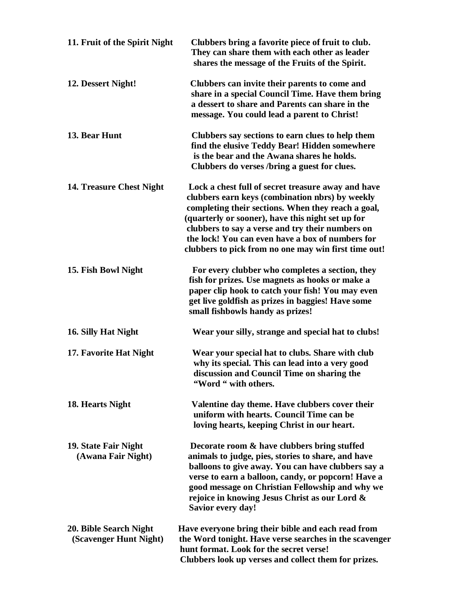| 11. Fruit of the Spirit Night                    | Clubbers bring a favorite piece of fruit to club.<br>They can share them with each other as leader<br>shares the message of the Fruits of the Spirit.                                                                                                                                                                                                                            |
|--------------------------------------------------|----------------------------------------------------------------------------------------------------------------------------------------------------------------------------------------------------------------------------------------------------------------------------------------------------------------------------------------------------------------------------------|
| 12. Dessert Night!                               | Clubbers can invite their parents to come and<br>share in a special Council Time. Have them bring<br>a dessert to share and Parents can share in the<br>message. You could lead a parent to Christ!                                                                                                                                                                              |
| 13. Bear Hunt                                    | Clubbers say sections to earn clues to help them<br>find the elusive Teddy Bear! Hidden somewhere<br>is the bear and the Awana shares he holds.<br>Clubbers do verses /bring a guest for clues.                                                                                                                                                                                  |
| 14. Treasure Chest Night                         | Lock a chest full of secret treasure away and have<br>clubbers earn keys (combination nbrs) by weekly<br>completing their sections. When they reach a goal,<br>(quarterly or sooner), have this night set up for<br>clubbers to say a verse and try their numbers on<br>the lock! You can even have a box of numbers for<br>clubbers to pick from no one may win first time out! |
| 15. Fish Bowl Night                              | For every clubber who completes a section, they<br>fish for prizes. Use magnets as hooks or make a<br>paper clip hook to catch your fish! You may even<br>get live goldfish as prizes in baggies! Have some<br>small fishbowls handy as prizes!                                                                                                                                  |
| 16. Silly Hat Night                              | Wear your silly, strange and special hat to clubs!                                                                                                                                                                                                                                                                                                                               |
| 17. Favorite Hat Night                           | Wear your special hat to clubs. Share with club<br>why its special. This can lead into a very good<br>discussion and Council Time on sharing the<br>"Word " with others.                                                                                                                                                                                                         |
| 18. Hearts Night                                 | Valentine day theme. Have clubbers cover their<br>uniform with hearts. Council Time can be<br>loving hearts, keeping Christ in our heart.                                                                                                                                                                                                                                        |
| 19. State Fair Night<br>(Awana Fair Night)       | Decorate room & have clubbers bring stuffed<br>animals to judge, pies, stories to share, and have<br>balloons to give away. You can have clubbers say a<br>verse to earn a balloon, candy, or popcorn! Have a<br>good message on Christian Fellowship and why we<br>rejoice in knowing Jesus Christ as our Lord &<br><b>Savior every day!</b>                                    |
| 20. Bible Search Night<br>(Scavenger Hunt Night) | Have everyone bring their bible and each read from<br>the Word tonight. Have verse searches in the scavenger<br>hunt format. Look for the secret verse!<br>Clubbers look up verses and collect them for prizes.                                                                                                                                                                  |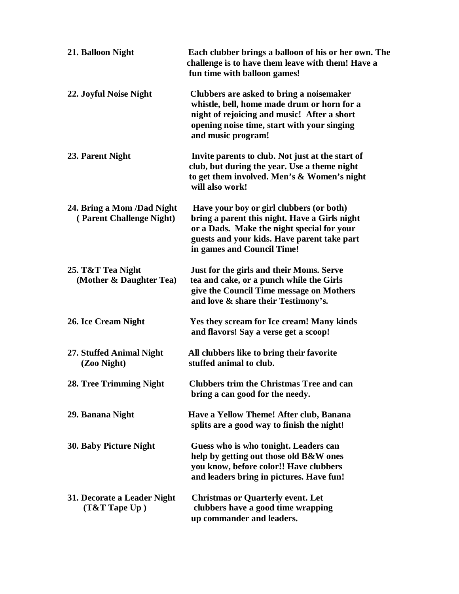| 21. Balloon Night                                      | Each clubber brings a balloon of his or her own. The<br>challenge is to have them leave with them! Have a<br>fun time with balloon games!                                                                            |
|--------------------------------------------------------|----------------------------------------------------------------------------------------------------------------------------------------------------------------------------------------------------------------------|
| 22. Joyful Noise Night                                 | Clubbers are asked to bring a noisemaker<br>whistle, bell, home made drum or horn for a<br>night of rejoicing and music! After a short<br>opening noise time, start with your singing<br>and music program!          |
| 23. Parent Night                                       | Invite parents to club. Not just at the start of<br>club, but during the year. Use a theme night<br>to get them involved. Men's & Women's night<br>will also work!                                                   |
| 24. Bring a Mom /Dad Night<br>(Parent Challenge Night) | Have your boy or girl clubbers (or both)<br>bring a parent this night. Have a Girls night<br>or a Dads. Make the night special for your<br>guests and your kids. Have parent take part<br>in games and Council Time! |
| 25. T&T Tea Night<br>(Mother & Daughter Tea)           | Just for the girls and their Moms. Serve<br>tea and cake, or a punch while the Girls<br>give the Council Time message on Mothers<br>and love & share their Testimony's.                                              |
| 26. Ice Cream Night                                    | Yes they scream for Ice cream! Many kinds<br>and flavors! Say a verse get a scoop!                                                                                                                                   |
| 27. Stuffed Animal Night<br>(Zoo Night)                | All clubbers like to bring their favorite<br>stuffed animal to club.                                                                                                                                                 |
| 28. Tree Trimming Night                                | <b>Clubbers trim the Christmas Tree and can</b><br>bring a can good for the needy.                                                                                                                                   |
| 29. Banana Night                                       | Have a Yellow Theme! After club, Banana<br>splits are a good way to finish the night!                                                                                                                                |
| 30. Baby Picture Night                                 | Guess who is who tonight. Leaders can<br>help by getting out those old B&W ones<br>you know, before color!! Have clubbers<br>and leaders bring in pictures. Have fun!                                                |
| 31. Decorate a Leader Night<br>$(T& T$ Tape $Up$ )     | <b>Christmas or Quarterly event. Let</b><br>clubbers have a good time wrapping<br>up commander and leaders.                                                                                                          |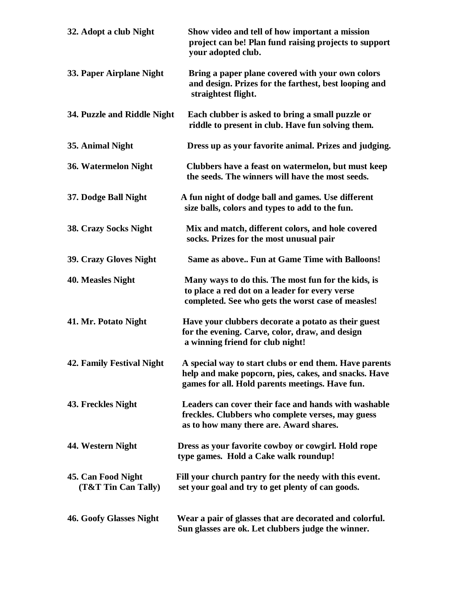| 32. Adopt a club Night                    | Show video and tell of how important a mission<br>project can be! Plan fund raising projects to support<br>your adopted club.                                     |
|-------------------------------------------|-------------------------------------------------------------------------------------------------------------------------------------------------------------------|
| 33. Paper Airplane Night                  | Bring a paper plane covered with your own colors<br>and design. Prizes for the farthest, best looping and<br>straightest flight.                                  |
| 34. Puzzle and Riddle Night               | Each clubber is asked to bring a small puzzle or<br>riddle to present in club. Have fun solving them.                                                             |
| 35. Animal Night                          | Dress up as your favorite animal. Prizes and judging.                                                                                                             |
| 36. Watermelon Night                      | Clubbers have a feast on watermelon, but must keep<br>the seeds. The winners will have the most seeds.                                                            |
| 37. Dodge Ball Night                      | A fun night of dodge ball and games. Use different<br>size balls, colors and types to add to the fun.                                                             |
| <b>38. Crazy Socks Night</b>              | Mix and match, different colors, and hole covered<br>socks. Prizes for the most unusual pair                                                                      |
| 39. Crazy Gloves Night                    | Same as above Fun at Game Time with Balloons!                                                                                                                     |
| 40. Measles Night                         | Many ways to do this. The most fun for the kids, is<br>to place a red dot on a leader for every verse<br>completed. See who gets the worst case of measles!       |
| 41. Mr. Potato Night                      | Have your clubbers decorate a potato as their guest<br>for the evening. Carve, color, draw, and design<br>a winning friend for club night!                        |
| <b>42. Family Festival Night</b>          | A special way to start clubs or end them. Have parents<br>help and make popcorn, pies, cakes, and snacks. Have<br>games for all. Hold parents meetings. Have fun. |
| 43. Freckles Night                        | Leaders can cover their face and hands with washable<br>freckles. Clubbers who complete verses, may guess<br>as to how many there are. Award shares.              |
| 44. Western Night                         | Dress as your favorite cowboy or cowgirl. Hold rope<br>type games. Hold a Cake walk roundup!                                                                      |
| 45. Can Food Night<br>(T&T Tin Can Tally) | Fill your church pantry for the needy with this event.<br>set your goal and try to get plenty of can goods.                                                       |
| <b>46. Goofy Glasses Night</b>            | Wear a pair of glasses that are decorated and colorful.<br>Sun glasses are ok. Let clubbers judge the winner.                                                     |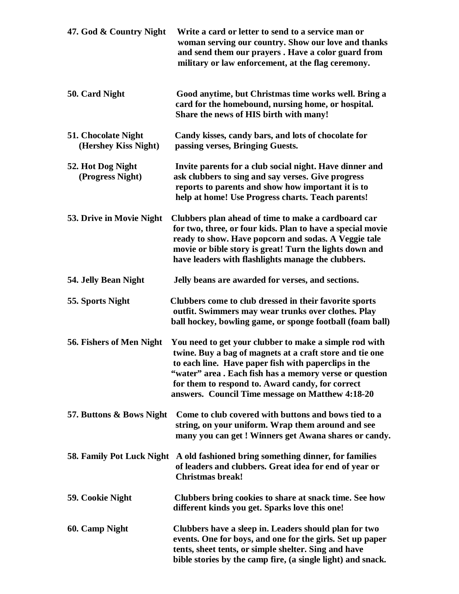| 47. God & Country Night                     | Write a card or letter to send to a service man or<br>woman serving our country. Show our love and thanks<br>and send them our prayers. Have a color guard from<br>military or law enforcement, at the flag ceremony.                                                                                                                        |
|---------------------------------------------|----------------------------------------------------------------------------------------------------------------------------------------------------------------------------------------------------------------------------------------------------------------------------------------------------------------------------------------------|
| 50. Card Night                              | Good anytime, but Christmas time works well. Bring a<br>card for the homebound, nursing home, or hospital.<br>Share the news of HIS birth with many!                                                                                                                                                                                         |
| 51. Chocolate Night<br>(Hershey Kiss Night) | Candy kisses, candy bars, and lots of chocolate for<br>passing verses, Bringing Guests.                                                                                                                                                                                                                                                      |
| 52. Hot Dog Night<br>(Progress Night)       | Invite parents for a club social night. Have dinner and<br>ask clubbers to sing and say verses. Give progress<br>reports to parents and show how important it is to<br>help at home! Use Progress charts. Teach parents!                                                                                                                     |
| 53. Drive in Movie Night                    | Clubbers plan ahead of time to make a cardboard car<br>for two, three, or four kids. Plan to have a special movie<br>ready to show. Have popcorn and sodas. A Veggie tale<br>movie or bible story is great! Turn the lights down and<br>have leaders with flashlights manage the clubbers.                                                   |
| 54. Jelly Bean Night                        | Jelly beans are awarded for verses, and sections.                                                                                                                                                                                                                                                                                            |
| 55. Sports Night                            | Clubbers come to club dressed in their favorite sports<br>outfit. Swimmers may wear trunks over clothes. Play<br>ball hockey, bowling game, or sponge football (foam ball)                                                                                                                                                                   |
| 56. Fishers of Men Night                    | You need to get your clubber to make a simple rod with<br>twine. Buy a bag of magnets at a craft store and tie one<br>to each line. Have paper fish with paperclips in the<br>"water" area. Each fish has a memory verse or question<br>for them to respond to. Award candy, for correct<br>answers. Council Time message on Matthew 4:18-20 |
| 57. Buttons & Bows Night                    | Come to club covered with buttons and bows tied to a<br>string, on your uniform. Wrap them around and see<br>many you can get ! Winners get Awana shares or candy.                                                                                                                                                                           |
| 58. Family Pot Luck Night                   | A old fashioned bring something dinner, for families<br>of leaders and clubbers. Great idea for end of year or<br><b>Christmas break!</b>                                                                                                                                                                                                    |
| 59. Cookie Night                            | Clubbers bring cookies to share at snack time. See how<br>different kinds you get. Sparks love this one!                                                                                                                                                                                                                                     |
| 60. Camp Night                              | Clubbers have a sleep in. Leaders should plan for two<br>events. One for boys, and one for the girls. Set up paper<br>tents, sheet tents, or simple shelter. Sing and have<br>bible stories by the camp fire, (a single light) and snack.                                                                                                    |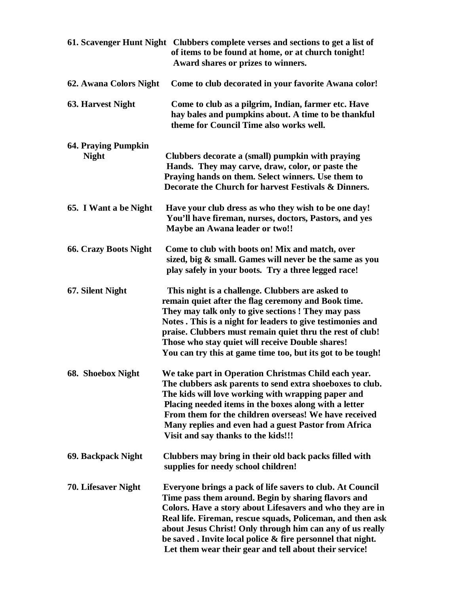|                                            | 61. Scavenger Hunt Night Clubbers complete verses and sections to get a list of<br>of items to be found at home, or at church tonight!<br>Award shares or prizes to winners.                                                                                                                                                                                                                                                     |
|--------------------------------------------|----------------------------------------------------------------------------------------------------------------------------------------------------------------------------------------------------------------------------------------------------------------------------------------------------------------------------------------------------------------------------------------------------------------------------------|
| 62. Awana Colors Night                     | Come to club decorated in your favorite Awana color!                                                                                                                                                                                                                                                                                                                                                                             |
| <b>63. Harvest Night</b>                   | Come to club as a pilgrim, Indian, farmer etc. Have<br>hay bales and pumpkins about. A time to be thankful<br>theme for Council Time also works well.                                                                                                                                                                                                                                                                            |
| <b>64. Praying Pumpkin</b><br><b>Night</b> | Clubbers decorate a (small) pumpkin with praying<br>Hands. They may carve, draw, color, or paste the<br>Praying hands on them. Select winners. Use them to<br>Decorate the Church for harvest Festivals & Dinners.                                                                                                                                                                                                               |
| 65. I Want a be Night                      | Have your club dress as who they wish to be one day!<br>You'll have fireman, nurses, doctors, Pastors, and yes<br>Maybe an Awana leader or two!!                                                                                                                                                                                                                                                                                 |
| <b>66. Crazy Boots Night</b>               | Come to club with boots on! Mix and match, over<br>sized, big & small. Games will never be the same as you<br>play safely in your boots. Try a three legged race!                                                                                                                                                                                                                                                                |
| 67. Silent Night                           | This night is a challenge. Clubbers are asked to<br>remain quiet after the flag ceremony and Book time.<br>They may talk only to give sections! They may pass<br>Notes . This is a night for leaders to give testimonies and<br>praise. Clubbers must remain quiet thru the rest of club!<br>Those who stay quiet will receive Double shares!<br>You can try this at game time too, but its got to be tough!                     |
| 68. Shoebox Night                          | We take part in Operation Christmas Child each year.<br>The clubbers ask parents to send extra shoeboxes to club.<br>The kids will love working with wrapping paper and<br>Placing needed items in the boxes along with a letter<br>From them for the children overseas! We have received<br>Many replies and even had a guest Pastor from Africa<br>Visit and say thanks to the kids!!!                                         |
| 69. Backpack Night                         | Clubbers may bring in their old back packs filled with<br>supplies for needy school children!                                                                                                                                                                                                                                                                                                                                    |
| 70. Lifesaver Night                        | Everyone brings a pack of life savers to club. At Council<br>Time pass them around. Begin by sharing flavors and<br>Colors. Have a story about Lifesavers and who they are in<br>Real life. Fireman, rescue squads, Policeman, and then ask<br>about Jesus Christ! Only through him can any of us really<br>be saved. Invite local police & fire personnel that night.<br>Let them wear their gear and tell about their service! |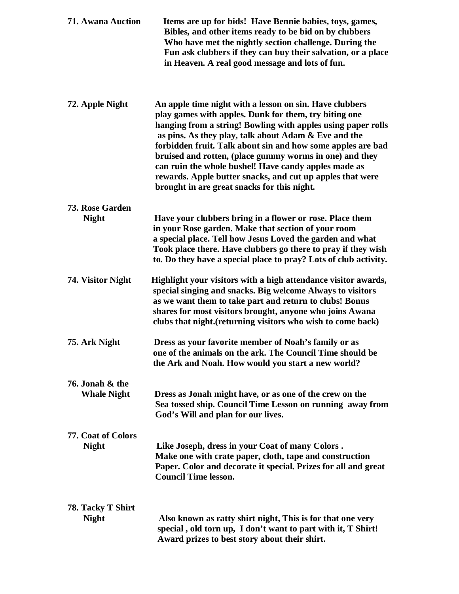| <b>71. Awana Auction</b>              | Items are up for bids! Have Bennie babies, toys, games,<br>Bibles, and other items ready to be bid on by clubbers<br>Who have met the nightly section challenge. During the<br>Fun ask clubbers if they can buy their salvation, or a place<br>in Heaven. A real good message and lots of fun.                                                                                                                                                                                                                                         |
|---------------------------------------|----------------------------------------------------------------------------------------------------------------------------------------------------------------------------------------------------------------------------------------------------------------------------------------------------------------------------------------------------------------------------------------------------------------------------------------------------------------------------------------------------------------------------------------|
| 72. Apple Night                       | An apple time night with a lesson on sin. Have clubbers<br>play games with apples. Dunk for them, try biting one<br>hanging from a string! Bowling with apples using paper rolls<br>as pins. As they play, talk about Adam & Eve and the<br>forbidden fruit. Talk about sin and how some apples are bad<br>bruised and rotten, (place gummy worms in one) and they<br>can ruin the whole bushel! Have candy apples made as<br>rewards. Apple butter snacks, and cut up apples that were<br>brought in are great snacks for this night. |
| 73. Rose Garden                       |                                                                                                                                                                                                                                                                                                                                                                                                                                                                                                                                        |
| <b>Night</b>                          | Have your clubbers bring in a flower or rose. Place them<br>in your Rose garden. Make that section of your room<br>a special place. Tell how Jesus Loved the garden and what<br>Took place there. Have clubbers go there to pray if they wish<br>to. Do they have a special place to pray? Lots of club activity.                                                                                                                                                                                                                      |
| 74. Visitor Night                     | Highlight your visitors with a high attendance visitor awards,<br>special singing and snacks. Big welcome Always to visitors<br>as we want them to take part and return to clubs! Bonus<br>shares for most visitors brought, anyone who joins Awana<br>clubs that night. (returning visitors who wish to come back)                                                                                                                                                                                                                    |
| 75. Ark Night                         | Dress as your favorite member of Noah's family or as<br>one of the animals on the ark. The Council Time should be<br>the Ark and Noah. How would you start a new world?                                                                                                                                                                                                                                                                                                                                                                |
| 76. Jonah & the<br><b>Whale Night</b> | Dress as Jonah might have, or as one of the crew on the<br>Sea tossed ship. Council Time Lesson on running away from<br>God's Will and plan for our lives.                                                                                                                                                                                                                                                                                                                                                                             |
| 77. Coat of Colors<br><b>Night</b>    | Like Joseph, dress in your Coat of many Colors.<br>Make one with crate paper, cloth, tape and construction<br>Paper. Color and decorate it special. Prizes for all and great<br><b>Council Time lesson.</b>                                                                                                                                                                                                                                                                                                                            |
| 78. Tacky T Shirt                     |                                                                                                                                                                                                                                                                                                                                                                                                                                                                                                                                        |
| <b>Night</b>                          | Also known as ratty shirt night, This is for that one very<br>special, old torn up, I don't want to part with it, T Shirt!<br>Award prizes to best story about their shirt.                                                                                                                                                                                                                                                                                                                                                            |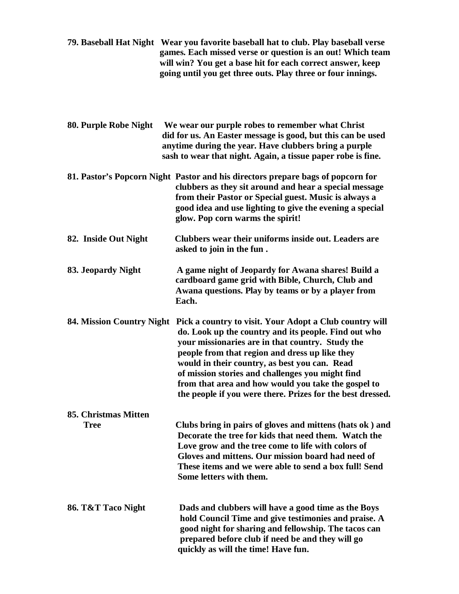| 79. Baseball Hat Night Wear you favorite baseball hat to club. Play baseball verse |
|------------------------------------------------------------------------------------|
| games. Each missed verse or question is an out! Which team                         |
| will win? You get a base hit for each correct answer, keep                         |
| going until you get three outs. Play three or four innings.                        |

| 80. Purple Robe Night               | We wear our purple robes to remember what Christ<br>did for us. An Easter message is good, but this can be used<br>anytime during the year. Have clubbers bring a purple<br>sash to wear that night. Again, a tissue paper robe is fine.                                                                                                                                                                                                        |
|-------------------------------------|-------------------------------------------------------------------------------------------------------------------------------------------------------------------------------------------------------------------------------------------------------------------------------------------------------------------------------------------------------------------------------------------------------------------------------------------------|
|                                     | 81. Pastor's Popcorn Night Pastor and his directors prepare bags of popcorn for<br>clubbers as they sit around and hear a special message<br>from their Pastor or Special guest. Music is always a<br>good idea and use lighting to give the evening a special<br>glow. Pop corn warms the spirit!                                                                                                                                              |
| 82. Inside Out Night                | Clubbers wear their uniforms inside out. Leaders are<br>asked to join in the fun.                                                                                                                                                                                                                                                                                                                                                               |
| 83. Jeopardy Night                  | A game night of Jeopardy for Awana shares! Build a<br>cardboard game grid with Bible, Church, Club and<br>Awana questions. Play by teams or by a player from<br>Each.                                                                                                                                                                                                                                                                           |
| 84. Mission Country Night           | Pick a country to visit. Your Adopt a Club country will<br>do. Look up the country and its people. Find out who<br>your missionaries are in that country. Study the<br>people from that region and dress up like they<br>would in their country, as best you can. Read<br>of mission stories and challenges you might find<br>from that area and how would you take the gospel to<br>the people if you were there. Prizes for the best dressed. |
| 85. Christmas Mitten<br><b>Tree</b> | Clubs bring in pairs of gloves and mittens (hats ok) and<br>Decorate the tree for kids that need them. Watch the<br>Love grow and the tree come to life with colors of<br>Gloves and mittens. Our mission board had need of<br>These items and we were able to send a box full! Send<br>Some letters with them.                                                                                                                                 |
| 86. T&T Taco Night                  | Dads and clubbers will have a good time as the Boys<br>hold Council Time and give testimonies and praise. A                                                                                                                                                                                                                                                                                                                                     |

 **good night for sharing and fellowship. The tacos can prepared before club if need be and they will go**

 **quickly as will the time! Have fun.**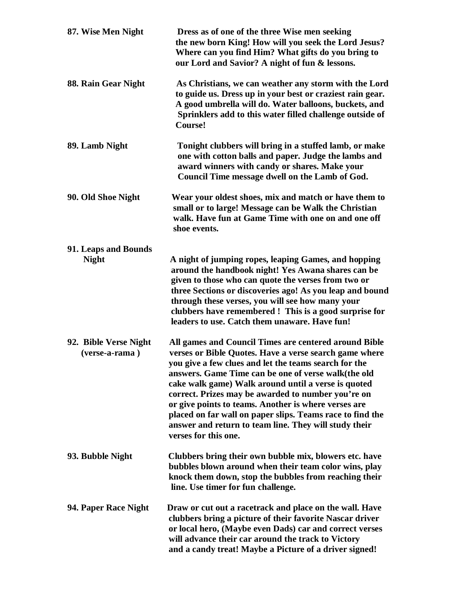| 87. Wise Men Night                      | Dress as of one of the three Wise men seeking<br>the new born King! How will you seek the Lord Jesus?<br>Where can you find Him? What gifts do you bring to<br>our Lord and Savior? A night of fun & lessons.                                                                                                                                                                                                                                                                                                                                      |
|-----------------------------------------|----------------------------------------------------------------------------------------------------------------------------------------------------------------------------------------------------------------------------------------------------------------------------------------------------------------------------------------------------------------------------------------------------------------------------------------------------------------------------------------------------------------------------------------------------|
| 88. Rain Gear Night                     | As Christians, we can weather any storm with the Lord<br>to guide us. Dress up in your best or craziest rain gear.<br>A good umbrella will do. Water balloons, buckets, and<br>Sprinklers add to this water filled challenge outside of<br>Course!                                                                                                                                                                                                                                                                                                 |
| 89. Lamb Night                          | Tonight clubbers will bring in a stuffed lamb, or make<br>one with cotton balls and paper. Judge the lambs and<br>award winners with candy or shares. Make your<br>Council Time message dwell on the Lamb of God.                                                                                                                                                                                                                                                                                                                                  |
| 90. Old Shoe Night                      | Wear your oldest shoes, mix and match or have them to<br>small or to large! Message can be Walk the Christian<br>walk. Have fun at Game Time with one on and one off<br>shoe events.                                                                                                                                                                                                                                                                                                                                                               |
| 91. Leaps and Bounds<br><b>Night</b>    | A night of jumping ropes, leaping Games, and hopping<br>around the handbook night! Yes Awana shares can be<br>given to those who can quote the verses from two or<br>three Sections or discoveries ago! As you leap and bound<br>through these verses, you will see how many your<br>clubbers have remembered ! This is a good surprise for<br>leaders to use. Catch them unaware. Have fun!                                                                                                                                                       |
| 92. Bible Verse Night<br>(verse-a-rama) | All games and Council Times are centered around Bible<br>verses or Bible Quotes. Have a verse search game where<br>you give a few clues and let the teams search for the<br>answers. Game Time can be one of verse walk(the old<br>cake walk game) Walk around until a verse is quoted<br>correct. Prizes may be awarded to number you're on<br>or give points to teams. Another is where verses are<br>placed on far wall on paper slips. Teams race to find the<br>answer and return to team line. They will study their<br>verses for this one. |
| 93. Bubble Night                        | Clubbers bring their own bubble mix, blowers etc. have<br>bubbles blown around when their team color wins, play<br>knock them down, stop the bubbles from reaching their<br>line. Use timer for fun challenge.                                                                                                                                                                                                                                                                                                                                     |
| 94. Paper Race Night                    | Draw or cut out a racetrack and place on the wall. Have<br>clubbers bring a picture of their favorite Nascar driver<br>or local hero, (Maybe even Dads) car and correct verses<br>will advance their car around the track to Victory<br>and a candy treat! Maybe a Picture of a driver signed!                                                                                                                                                                                                                                                     |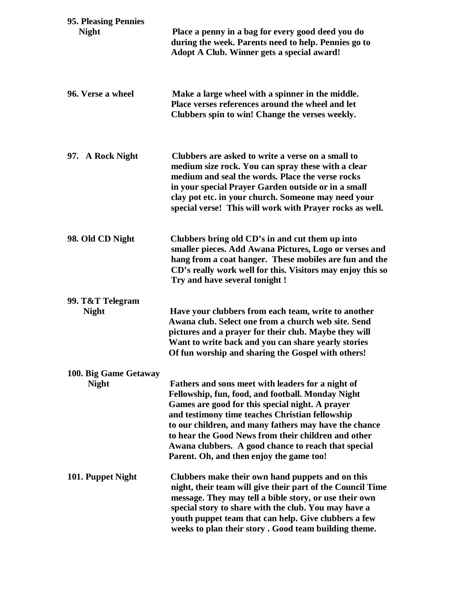| 95. Pleasing Pennies                  |                                                                                                                                                                                                                                                                                                                                                                                                                                 |
|---------------------------------------|---------------------------------------------------------------------------------------------------------------------------------------------------------------------------------------------------------------------------------------------------------------------------------------------------------------------------------------------------------------------------------------------------------------------------------|
| <b>Night</b>                          | Place a penny in a bag for every good deed you do<br>during the week. Parents need to help. Pennies go to<br>Adopt A Club. Winner gets a special award!                                                                                                                                                                                                                                                                         |
| 96. Verse a wheel                     | Make a large wheel with a spinner in the middle.<br>Place verses references around the wheel and let<br>Clubbers spin to win! Change the verses weekly.                                                                                                                                                                                                                                                                         |
| 97. A Rock Night                      | Clubbers are asked to write a verse on a small to<br>medium size rock. You can spray these with a clear<br>medium and seal the words. Place the verse rocks<br>in your special Prayer Garden outside or in a small<br>clay pot etc. in your church. Someone may need your<br>special verse! This will work with Prayer rocks as well.                                                                                           |
| 98. Old CD Night                      | Clubbers bring old CD's in and cut them up into<br>smaller pieces. Add Awana Pictures, Logo or verses and<br>hang from a coat hanger. These mobiles are fun and the<br>CD's really work well for this. Visitors may enjoy this so<br>Try and have several tonight !                                                                                                                                                             |
| 99. T&T Telegram                      |                                                                                                                                                                                                                                                                                                                                                                                                                                 |
| <b>Night</b>                          | Have your clubbers from each team, write to another<br>Awana club. Select one from a church web site. Send<br>pictures and a prayer for their club. Maybe they will<br>Want to write back and you can share yearly stories<br>Of fun worship and sharing the Gospel with others!                                                                                                                                                |
| 100. Big Game Getaway<br><b>Night</b> | Fathers and sons meet with leaders for a night of<br>Fellowship, fun, food, and football. Monday Night<br>Games are good for this special night. A prayer<br>and testimony time teaches Christian fellowship<br>to our children, and many fathers may have the chance<br>to hear the Good News from their children and other<br>Awana clubbers. A good chance to reach that special<br>Parent. Oh, and then enjoy the game too! |
| 101. Puppet Night                     | Clubbers make their own hand puppets and on this<br>night, their team will give their part of the Council Time<br>message. They may tell a bible story, or use their own<br>special story to share with the club. You may have a<br>youth puppet team that can help. Give clubbers a few<br>weeks to plan their story. Good team building theme.                                                                                |